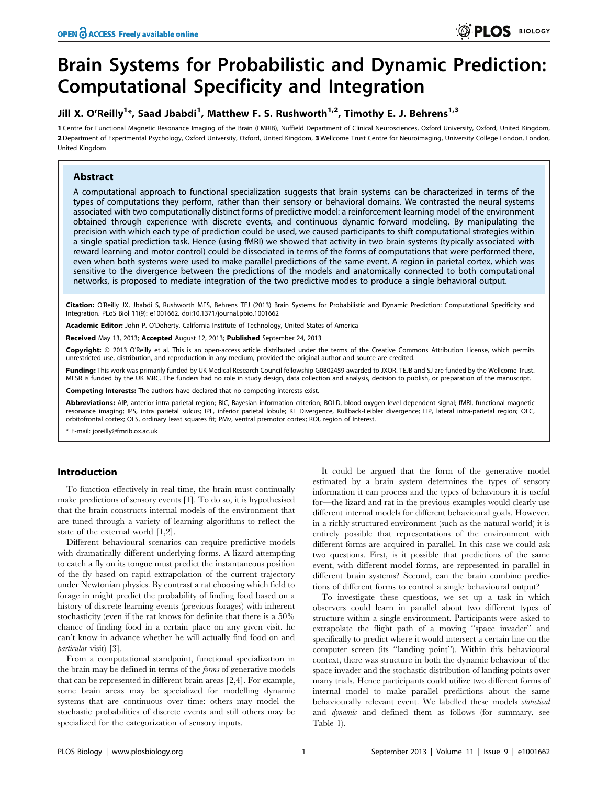# Brain Systems for Probabilistic and Dynamic Prediction: Computational Specificity and Integration

# Jill X. O'Reilly $^{1*}$ , Saad Jbabdi $^{1}$ , Matthew F. S. Rushworth $^{1,2}$ , Timothy E. J. Behrens $^{1,3}$

1 Centre for Functional Magnetic Resonance Imaging of the Brain (FMRIB), Nuffield Department of Clinical Neurosciences, Oxford University, Oxford, United Kingdom, 2 Department of Experimental Psychology, Oxford University, Oxford, United Kingdom, 3 Wellcome Trust Centre for Neuroimaging, University College London, London, United Kingdom

# Abstract

A computational approach to functional specialization suggests that brain systems can be characterized in terms of the types of computations they perform, rather than their sensory or behavioral domains. We contrasted the neural systems associated with two computationally distinct forms of predictive model: a reinforcement-learning model of the environment obtained through experience with discrete events, and continuous dynamic forward modeling. By manipulating the precision with which each type of prediction could be used, we caused participants to shift computational strategies within a single spatial prediction task. Hence (using fMRI) we showed that activity in two brain systems (typically associated with reward learning and motor control) could be dissociated in terms of the forms of computations that were performed there, even when both systems were used to make parallel predictions of the same event. A region in parietal cortex, which was sensitive to the divergence between the predictions of the models and anatomically connected to both computational networks, is proposed to mediate integration of the two predictive modes to produce a single behavioral output.

Citation: O'Reilly JX, Jbabdi S, Rushworth MFS, Behrens TEJ (2013) Brain Systems for Probabilistic and Dynamic Prediction: Computational Specificity and Integration. PLoS Biol 11(9): e1001662. doi:10.1371/journal.pbio.1001662

Academic Editor: John P. O'Doherty, California Institute of Technology, United States of America

Received May 13, 2013; Accepted August 12, 2013; Published September 24, 2013

**Copyright:** © 2013 O'Reilly et al. This is an open-access article distributed under the terms of the Creative Commons Attribution License, which permits unrestricted use, distribution, and reproduction in any medium, provided the original author and source are credited.

Funding: This work was primarily funded by UK Medical Research Council fellowship G0802459 awarded to JXOR. TEJB and SJ are funded by the Wellcome Trust. MFSR is funded by the UK MRC. The funders had no role in study design, data collection and analysis, decision to publish, or preparation of the manuscript.

Competing Interests: The authors have declared that no competing interests exist.

Abbreviations: AIP, anterior intra-parietal region; BIC, Bayesian information criterion; BOLD, blood oxygen level dependent signal; fMRI, functional magnetic resonance imaging; IPS, intra parietal sulcus; IPL, inferior parietal lobule; KL Divergence, Kullback-Leibler divergence; LIP, lateral intra-parietal region; OFC, orbitofrontal cortex; OLS, ordinary least squares fit; PMv, ventral premotor cortex; ROI, region of Interest.

\* E-mail: joreilly@fmrib.ox.ac.uk

# Introduction

To function effectively in real time, the brain must continually make predictions of sensory events [1]. To do so, it is hypothesised that the brain constructs internal models of the environment that are tuned through a variety of learning algorithms to reflect the state of the external world [1,2].

Different behavioural scenarios can require predictive models with dramatically different underlying forms. A lizard attempting to catch a fly on its tongue must predict the instantaneous position of the fly based on rapid extrapolation of the current trajectory under Newtonian physics. By contrast a rat choosing which field to forage in might predict the probability of finding food based on a history of discrete learning events (previous forages) with inherent stochasticity (even if the rat knows for definite that there is a 50% chance of finding food in a certain place on any given visit, he can't know in advance whether he will actually find food on and particular visit) [3].

From a computational standpoint, functional specialization in the brain may be defined in terms of the forms of generative models that can be represented in different brain areas [2,4]. For example, some brain areas may be specialized for modelling dynamic systems that are continuous over time; others may model the stochastic probabilities of discrete events and still others may be specialized for the categorization of sensory inputs.

It could be argued that the form of the generative model estimated by a brain system determines the types of sensory information it can process and the types of behaviours it is useful for—the lizard and rat in the previous examples would clearly use different internal models for different behavioural goals. However, in a richly structured environment (such as the natural world) it is entirely possible that representations of the environment with different forms are acquired in parallel. In this case we could ask two questions. First, is it possible that predictions of the same event, with different model forms, are represented in parallel in different brain systems? Second, can the brain combine predictions of different forms to control a single behavioural output?

To investigate these questions, we set up a task in which observers could learn in parallel about two different types of structure within a single environment. Participants were asked to extrapolate the flight path of a moving ''space invader'' and specifically to predict where it would intersect a certain line on the computer screen (its ''landing point''). Within this behavioural context, there was structure in both the dynamic behaviour of the space invader and the stochastic distribution of landing points over many trials. Hence participants could utilize two different forms of internal model to make parallel predictions about the same behaviourally relevant event. We labelled these models statistical and dynamic and defined them as follows (for summary, see Table 1).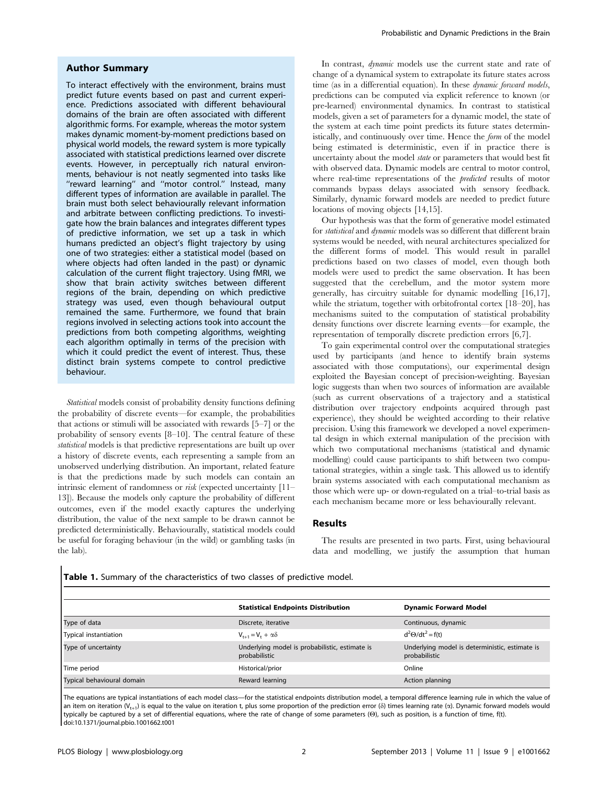#### Author Summary

To interact effectively with the environment, brains must predict future events based on past and current experience. Predictions associated with different behavioural domains of the brain are often associated with different algorithmic forms. For example, whereas the motor system makes dynamic moment-by-moment predictions based on physical world models, the reward system is more typically associated with statistical predictions learned over discrete events. However, in perceptually rich natural environments, behaviour is not neatly segmented into tasks like "reward learning" and "motor control." Instead, many different types of information are available in parallel. The brain must both select behaviourally relevant information and arbitrate between conflicting predictions. To investigate how the brain balances and integrates different types of predictive information, we set up a task in which humans predicted an object's flight trajectory by using one of two strategies: either a statistical model (based on where objects had often landed in the past) or dynamic calculation of the current flight trajectory. Using fMRI, we show that brain activity switches between different regions of the brain, depending on which predictive strategy was used, even though behavioural output remained the same. Furthermore, we found that brain regions involved in selecting actions took into account the predictions from both competing algorithms, weighting each algorithm optimally in terms of the precision with which it could predict the event of interest. Thus, these distinct brain systems compete to control predictive behaviour.

Statistical models consist of probability density functions defining the probability of discrete events—for example, the probabilities that actions or stimuli will be associated with rewards [5–7] or the probability of sensory events [8–10]. The central feature of these statistical models is that predictive representations are built up over a history of discrete events, each representing a sample from an unobserved underlying distribution. An important, related feature is that the predictions made by such models can contain an intrinsic element of randomness or risk (expected uncertainty [11– 13]). Because the models only capture the probability of different outcomes, even if the model exactly captures the underlying distribution, the value of the next sample to be drawn cannot be predicted deterministically. Behaviourally, statistical models could be useful for foraging behaviour (in the wild) or gambling tasks (in the lab).

In contrast, dynamic models use the current state and rate of change of a dynamical system to extrapolate its future states across time (as in a differential equation). In these dynamic forward models, predictions can be computed via explicit reference to known (or pre-learned) environmental dynamics. In contrast to statistical models, given a set of parameters for a dynamic model, the state of the system at each time point predicts its future states deterministically, and continuously over time. Hence the form of the model being estimated is deterministic, even if in practice there is uncertainty about the model state or parameters that would best fit with observed data. Dynamic models are central to motor control, where real-time representations of the *predicted* results of motor commands bypass delays associated with sensory feedback. Similarly, dynamic forward models are needed to predict future locations of moving objects [14,15].

Our hypothesis was that the form of generative model estimated for statistical and dynamic models was so different that different brain systems would be needed, with neural architectures specialized for the different forms of model. This would result in parallel predictions based on two classes of model, even though both models were used to predict the same observation. It has been suggested that the cerebellum, and the motor system more generally, has circuitry suitable for dynamic modelling [16,17], while the striatum, together with orbitofrontal cortex [18–20], has mechanisms suited to the computation of statistical probability density functions over discrete learning events—for example, the representation of temporally discrete prediction errors [6,7].

To gain experimental control over the computational strategies used by participants (and hence to identify brain systems associated with those computations), our experimental design exploited the Bayesian concept of precision-weighting. Bayesian logic suggests than when two sources of information are available (such as current observations of a trajectory and a statistical distribution over trajectory endpoints acquired through past experience), they should be weighted according to their relative precision. Using this framework we developed a novel experimental design in which external manipulation of the precision with which two computational mechanisms (statistical and dynamic modelling) could cause participants to shift between two computational strategies, within a single task. This allowed us to identify brain systems associated with each computational mechanism as those which were up- or down-regulated on a trial–to-trial basis as each mechanism became more or less behaviourally relevant.

## Results

The results are presented in two parts. First, using behavioural data and modelling, we justify the assumption that human

Table 1. Summary of the characteristics of two classes of predictive model.

|                            | <b>Statistical Endpoints Distribution</b>                       | <b>Dynamic Forward Model</b>                                    |
|----------------------------|-----------------------------------------------------------------|-----------------------------------------------------------------|
| Type of data               | Discrete, iterative                                             | Continuous, dynamic                                             |
| Typical instantiation      | $V_{t+1} = V_t + \alpha \delta$                                 | $d^2\Theta/dt^2 = f(t)$                                         |
| Type of uncertainty        | Underlying model is probabilistic, estimate is<br>probabilistic | Underlying model is deterministic, estimate is<br>probabilistic |
| Time period                | Historical/prior                                                | Online                                                          |
| Typical behavioural domain | Reward learning                                                 | Action planning                                                 |

The equations are typical instantiations of each model class—for the statistical endpoints distribution model, a temporal difference learning rule in which the value of an item on iteration  $(V_{t+1})$  is equal to the value on iteration t, plus some proportion of the prediction error ( $\delta$ ) times learning rate ( $\alpha$ ). Dynamic forward models would typically be captured by a set of differential equations, where the rate of change of some parameters (O), such as position, is a function of time, f(t). doi:10.1371/journal.pbio.1001662.t001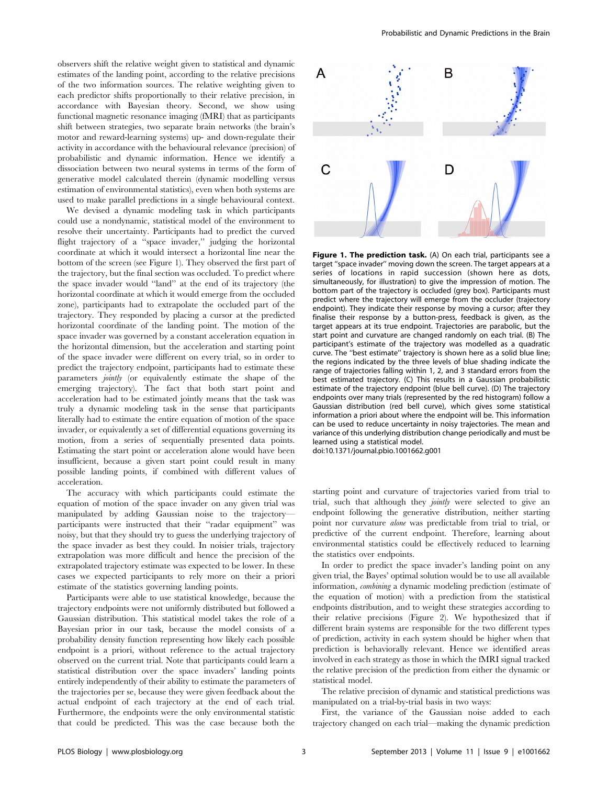observers shift the relative weight given to statistical and dynamic estimates of the landing point, according to the relative precisions of the two information sources. The relative weighting given to each predictor shifts proportionally to their relative precision, in accordance with Bayesian theory. Second, we show using functional magnetic resonance imaging (fMRI) that as participants shift between strategies, two separate brain networks (the brain's motor and reward-learning systems) up- and down-regulate their activity in accordance with the behavioural relevance (precision) of probabilistic and dynamic information. Hence we identify a dissociation between two neural systems in terms of the form of generative model calculated therein (dynamic modelling versus estimation of environmental statistics), even when both systems are used to make parallel predictions in a single behavioural context.

We devised a dynamic modeling task in which participants could use a nondynamic, statistical model of the environment to resolve their uncertainty. Participants had to predict the curved flight trajectory of a ''space invader,'' judging the horizontal coordinate at which it would intersect a horizontal line near the bottom of the screen (see Figure 1). They observed the first part of the trajectory, but the final section was occluded. To predict where the space invader would ''land'' at the end of its trajectory (the horizontal coordinate at which it would emerge from the occluded zone), participants had to extrapolate the occluded part of the trajectory. They responded by placing a cursor at the predicted horizontal coordinate of the landing point. The motion of the space invader was governed by a constant acceleration equation in the horizontal dimension, but the acceleration and starting point of the space invader were different on every trial, so in order to predict the trajectory endpoint, participants had to estimate these parameters jointly (or equivalently estimate the shape of the emerging trajectory). The fact that both start point and acceleration had to be estimated jointly means that the task was truly a dynamic modeling task in the sense that participants literally had to estimate the entire equation of motion of the space invader, or equivalently a set of differential equations governing its motion, from a series of sequentially presented data points. Estimating the start point or acceleration alone would have been insufficient, because a given start point could result in many possible landing points, if combined with different values of acceleration.

The accuracy with which participants could estimate the equation of motion of the space invader on any given trial was manipulated by adding Gaussian noise to the trajectory participants were instructed that their ''radar equipment'' was noisy, but that they should try to guess the underlying trajectory of the space invader as best they could. In noisier trials, trajectory extrapolation was more difficult and hence the precision of the extrapolated trajectory estimate was expected to be lower. In these cases we expected participants to rely more on their a priori estimate of the statistics governing landing points.

Participants were able to use statistical knowledge, because the trajectory endpoints were not uniformly distributed but followed a Gaussian distribution. This statistical model takes the role of a Bayesian prior in our task, because the model consists of a probability density function representing how likely each possible endpoint is a priori, without reference to the actual trajectory observed on the current trial. Note that participants could learn a statistical distribution over the space invaders' landing points entirely independently of their ability to estimate the parameters of the trajectories per se, because they were given feedback about the actual endpoint of each trajectory at the end of each trial. Furthermore, the endpoints were the only environmental statistic that could be predicted. This was the case because both the



Figure 1. The prediction task. (A) On each trial, participants see a target ''space invader'' moving down the screen. The target appears at a series of locations in rapid succession (shown here as dots, simultaneously, for illustration) to give the impression of motion. The bottom part of the trajectory is occluded (grey box). Participants must predict where the trajectory will emerge from the occluder (trajectory endpoint). They indicate their response by moving a cursor; after they finalise their response by a button-press, feedback is given, as the target appears at its true endpoint. Trajectories are parabolic, but the start point and curvature are changed randomly on each trial. (B) The participant's estimate of the trajectory was modelled as a quadratic curve. The ''best estimate'' trajectory is shown here as a solid blue line; the regions indicated by the three levels of blue shading indicate the range of trajectories falling within 1, 2, and 3 standard errors from the best estimated trajectory. (C) This results in a Gaussian probabilistic estimate of the trajectory endpoint (blue bell curve). (D) The trajectory endpoints over many trials (represented by the red histogram) follow a Gaussian distribution (red bell curve), which gives some statistical information a priori about where the endpoint will be. This information can be used to reduce uncertainty in noisy trajectories. The mean and variance of this underlying distribution change periodically and must be learned using a statistical model. doi:10.1371/journal.pbio.1001662.g001

starting point and curvature of trajectories varied from trial to trial, such that although they jointly were selected to give an endpoint following the generative distribution, neither starting point nor curvature alone was predictable from trial to trial, or predictive of the current endpoint. Therefore, learning about environmental statistics could be effectively reduced to learning the statistics over endpoints.

In order to predict the space invader's landing point on any given trial, the Bayes' optimal solution would be to use all available information, combining a dynamic modeling prediction (estimate of the equation of motion) with a prediction from the statistical endpoints distribution, and to weight these strategies according to their relative precisions (Figure 2). We hypothesized that if different brain systems are responsible for the two different types of prediction, activity in each system should be higher when that prediction is behaviorally relevant. Hence we identified areas involved in each strategy as those in which the fMRI signal tracked the relative precision of the prediction from either the dynamic or statistical model.

The relative precision of dynamic and statistical predictions was manipulated on a trial-by-trial basis in two ways:

First, the variance of the Gaussian noise added to each trajectory changed on each trial—making the dynamic prediction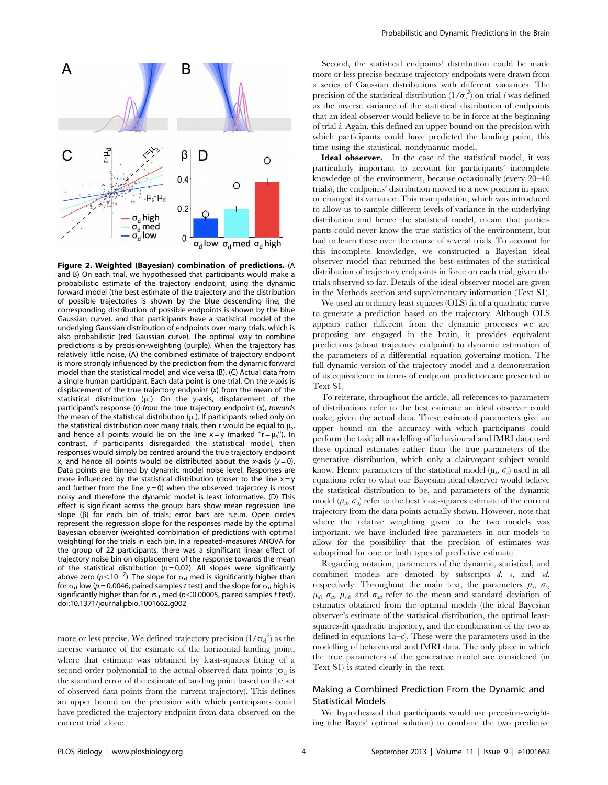

Figure 2. Weighted (Bayesian) combination of predictions. (A and B) On each trial, we hypothesised that participants would make a probabilistic estimate of the trajectory endpoint, using the dynamic forward model (the best estimate of the trajectory and the distribution of possible trajectories is shown by the blue descending line; the corresponding distribution of possible endpoints is shown by the blue Gaussian curve), and that participants have a statistical model of the underlying Gaussian distribution of endpoints over many trials, which is also probabilistic (red Gaussian curve). The optimal way to combine predictions is by precision-weighting (purple). When the trajectory has relatively little noise, (A) the combined estimate of trajectory endpoint is more strongly influenced by the prediction from the dynamic forward model than the statistical model, and vice versa (B). (C) Actual data from a single human participant. Each data point is one trial. On the x-axis is displacement of the true trajectory endpoint  $(x)$  from the mean of the statistical distribution ( $\mu$ <sub>s</sub>). On the y-axis, displacement of the participant's response (r) from the true trajectory endpoint (x), towards the mean of the statistical distribution  $(\mu_s)$ . If participants relied only on the statistical distribution over many trials, then r would be equal to  $\mu_s$ , and hence all points would lie on the line  $x = y$  (marked " $r = \mu_s$ "). In contrast, if participants disregarded the statistical model, then responses would simply be centred around the true trajectory endpoint x, and hence all points would be distributed about the x-axis ( $y = 0$ ). Data points are binned by dynamic model noise level. Responses are more influenced by the statistical distribution (closer to the line  $x = y$ and further from the line  $y = 0$ ) when the observed trajectory is most noisy and therefore the dynamic model is least informative. (D) This effect is significant across the group: bars show mean regression line slope  $(\beta)$  for each bin of trials; error bars are s.e.m. Open circles represent the regression slope for the responses made by the optimal Bayesian observer (weighted combination of predictions with optimal weighting) for the trials in each bin. In a repeated-measures ANOVA for the group of 22 participants, there was a significant linear effect of trajectory noise bin on displacement of the response towards the mean of the statistical distribution ( $p = 0.02$ ). All slopes were significantly above zero ( $p<10^{-7}$ ). The slope for  $\sigma_d$  med is significantly higher than for  $\sigma_d$  low (p = 0.0046, paired samples t test) and the slope for  $\sigma_d$  high is significantly higher than for  $\sigma_d$  med (p<0.00005, paired samples t test). doi:10.1371/journal.pbio.1001662.g002

more or less precise. We defined trajectory precision  $(1/\sigma_d^2)$  as the inverse variance of the estimate of the horizontal landing point, where that estimate was obtained by least-squares fitting of a second order polynomial to the actual observed data points ( $\sigma_d$  is the standard error of the estimate of landing point based on the set of observed data points from the current trajectory). This defines an upper bound on the precision with which participants could have predicted the trajectory endpoint from data observed on the current trial alone.

Second, the statistical endpoints' distribution could be made more or less precise because trajectory endpoints were drawn from a series of Gaussian distributions with different variances. The precision of the statistical distribution  $(1/\sigma_s^2)$  on trial i was defined as the inverse variance of the statistical distribution of endpoints that an ideal observer would believe to be in force at the beginning of trial i. Again, this defined an upper bound on the precision with which participants could have predicted the landing point, this time using the statistical, nondynamic model.

Ideal observer. In the case of the statistical model, it was particularly important to account for participants' incomplete knowledge of the environment, because occasionally (every 20–40 trials), the endpoints' distribution moved to a new position in space or changed its variance. This manipulation, which was introduced to allow us to sample different levels of variance in the underlying distribution and hence the statistical model, meant that participants could never know the true statistics of the environment, but had to learn these over the course of several trials. To account for this incomplete knowledge, we constructed a Bayesian ideal observer model that returned the best estimates of the statistical distribution of trajectory endpoints in force on each trial, given the trials observed so far. Details of the ideal observer model are given in the Methods section and supplementary information (Text S1).

We used an ordinary least squares (OLS) fit of a quadratic curve to generate a prediction based on the trajectory. Although OLS appears rather different from the dynamic processes we are proposing are engaged in the brain, it provides equivalent predictions (about trajectory endpoint) to dynamic estimation of the parameters of a differential equation governing motion. The full dynamic version of the trajectory model and a demonstration of its equivalence in terms of endpoint prediction are presented in Text S1.

To reiterate, throughout the article, all references to parameters of distributions refer to the best estimate an ideal observer could make, given the actual data. These estimated parameters give an upper bound on the accuracy with which participants could perform the task; all modelling of behavioural and fMRI data used these optimal estimates rather than the true parameters of the generative distribution, which only a clairvoyant subject would know. Hence parameters of the statistical model  $(\mu_s, \sigma_s)$  used in all equations refer to what our Bayesian ideal observer would believe the statistical distribution to be, and parameters of the dynamic model  $(\mu_d, \sigma_d)$  refer to the best least-squares estimate of the current trajectory from the data points actually shown. However, note that where the relative weighting given to the two models was important, we have included free parameters in our models to allow for the possibility that the precision of estimates was suboptimal for one or both types of predictive estimate.

Regarding notation, parameters of the dynamic, statistical, and combined models are denoted by subscripts d, s, and sd, respectively. Throughout the main text, the parameters  $\mu_s$ ,  $\sigma_s$ ,  $\mu_d$ ,  $\sigma_d$ ,  $\mu_{sd}$ , and  $\sigma_{sd}$  refer to the mean and standard deviation of estimates obtained from the optimal models (the ideal Bayesian observer's estimate of the statistical distribution, the optimal leastsquares-fit quadratic trajectory, and the combination of the two as defined in equations 1a–c). These were the parameters used in the modelling of behavioural and fMRI data. The only place in which the true parameters of the generative model are considered (in Text S1) is stated clearly in the text.

# Making a Combined Prediction From the Dynamic and Statistical Models

We hypothesized that participants would use precision-weighting (the Bayes' optimal solution) to combine the two predictive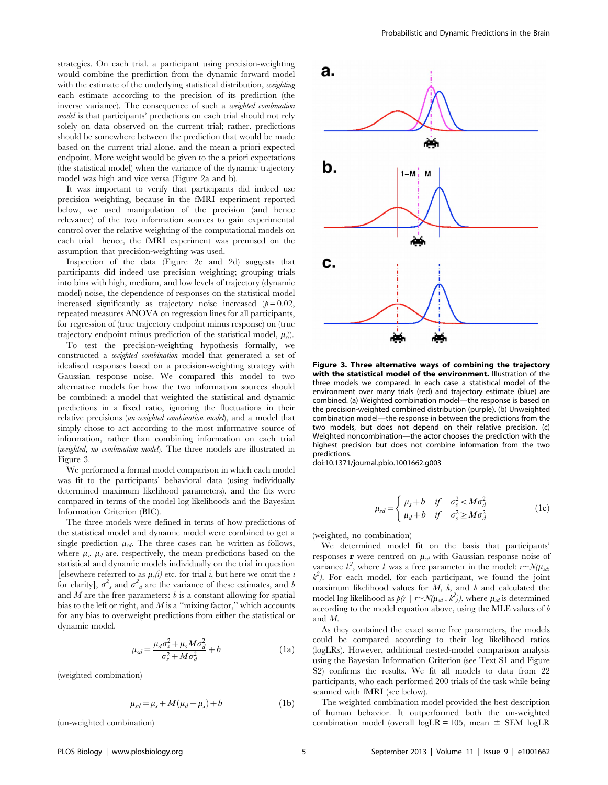strategies. On each trial, a participant using precision-weighting would combine the prediction from the dynamic forward model with the estimate of the underlying statistical distribution, weighting each estimate according to the precision of its prediction (the inverse variance). The consequence of such a weighted combination model is that participants' predictions on each trial should not rely solely on data observed on the current trial; rather, predictions should be somewhere between the prediction that would be made based on the current trial alone, and the mean a priori expected endpoint. More weight would be given to the a priori expectations (the statistical model) when the variance of the dynamic trajectory model was high and vice versa (Figure 2a and b).

It was important to verify that participants did indeed use precision weighting, because in the fMRI experiment reported below, we used manipulation of the precision (and hence relevance) of the two information sources to gain experimental control over the relative weighting of the computational models on each trial—hence, the fMRI experiment was premised on the assumption that precision-weighting was used.

Inspection of the data (Figure 2c and 2d) suggests that participants did indeed use precision weighting; grouping trials into bins with high, medium, and low levels of trajectory (dynamic model) noise, the dependence of responses on the statistical model increased significantly as trajectory noise increased  $(p=0.02,$ repeated measures ANOVA on regression lines for all participants, for regression of (true trajectory endpoint minus response) on (true trajectory endpoint minus prediction of the statistical model,  $\mu_s$ ).

To test the precision-weighting hypothesis formally, we constructed a weighted combination model that generated a set of idealised responses based on a precision-weighting strategy with Gaussian response noise. We compared this model to two alternative models for how the two information sources should be combined: a model that weighted the statistical and dynamic predictions in a fixed ratio, ignoring the fluctuations in their relative precisions (un-weighted combination model), and a model that simply chose to act according to the most informative source of information, rather than combining information on each trial (weighted, no combination model). The three models are illustrated in Figure 3.

We performed a formal model comparison in which each model was fit to the participants' behavioral data (using individually determined maximum likelihood parameters), and the fits were compared in terms of the model log likelihoods and the Bayesian Information Criterion (BIC).

The three models were defined in terms of how predictions of the statistical model and dynamic model were combined to get a single prediction  $\mu_{sd}$ . The three cases can be written as follows, where  $\mu_s$ ,  $\mu_d$  are, respectively, the mean predictions based on the statistical and dynamic models individually on the trial in question [elsewhere referred to as  $\mu_s(i)$  etc. for trial i, but here we omit the i for clarity],  $\sigma^2$  and  $\sigma^2$  are the variance of these estimates, and b and  $M$  are the free parameters:  $b$  is a constant allowing for spatial bias to the left or right, and  $M$  is a "mixing factor," which accounts for any bias to overweight predictions from either the statistical or dynamic model.

$$
\mu_{sd} = \frac{\mu_d \sigma_s^2 + \mu_s M \sigma_d^2}{\sigma_s^2 + M \sigma_d^2} + b \tag{1a}
$$

(weighted combination)

$$
\mu_{sd} = \mu_s + M(\mu_d - \mu_s) + b \tag{1b}
$$

(un-weighted combination)



Figure 3. Three alternative ways of combining the trajectory with the statistical model of the environment. Illustration of the three models we compared. In each case a statistical model of the environment over many trials (red) and trajectory estimate (blue) are combined. (a) Weighted combination model—the response is based on the precision-weighted combined distribution (purple). (b) Unweighted combination model—the response in between the predictions from the two models, but does not depend on their relative precision. (c) Weighted noncombination—the actor chooses the prediction with the highest precision but does not combine information from the two predictions.

doi:10.1371/journal.pbio.1001662.g003

$$
\mu_{sd} = \begin{cases} \mu_s + b & \text{if } \sigma_s^2 < M \sigma_d^2 \\ \mu_d + b & \text{if } \sigma_s^2 \ge M \sigma_d^2 \end{cases}
$$
 (1c)

(weighted, no combination)

We determined model fit on the basis that participants' responses **r** were centred on  $\mu_{sd}$  with Gaussian response noise of variance  $k^2$ , where k was a free parameter in the model:  $r \sim \mathcal{N}(\mu_{sd},$  $k^2$ ). For each model, for each participant, we found the joint maximum likelihood values for  $M$ ,  $k$ , and  $b$  and calculated the model log likelihood as  $p(r \mid r \sim \mathcal{N}(\mu_{sd}, k^2))$ , where  $\mu_{sd}$  is determined according to the model equation above, using the MLE values of b and M.

As they contained the exact same free parameters, the models could be compared according to their log likelihood ratios (logLRs). However, additional nested-model comparison analysis using the Bayesian Information Criterion (see Text S1 and Figure S2) confirms the results. We fit all models to data from 22 participants, who each performed 200 trials of the task while being scanned with fMRI (see below).

The weighted combination model provided the best description of human behavior. It outperformed both the un-weighted combination model (overall logLR = 105, mean  $\pm$  SEM logLR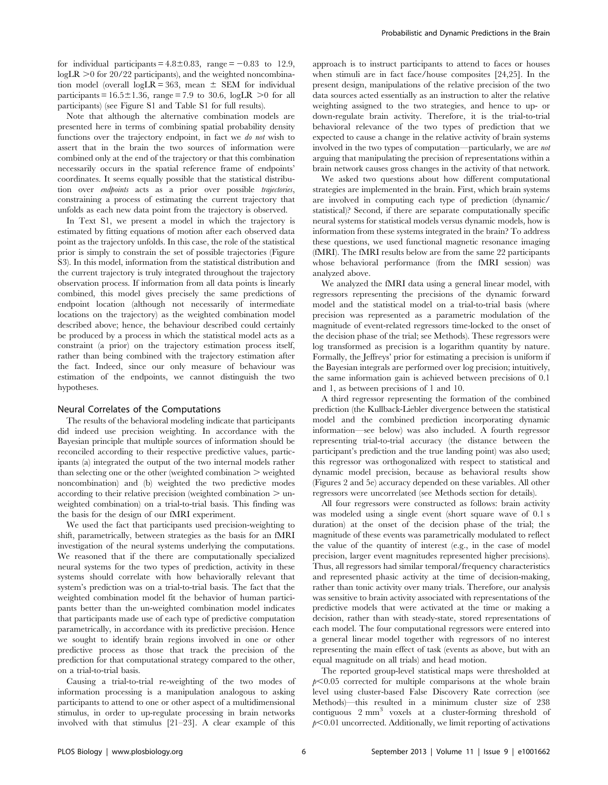for individual participants =  $4.8 \pm 0.83$ , range =  $-0.83$  to 12.9,  $logLR$   $>0$  for 20/22 participants), and the weighted noncombination model (overall logLR = 363, mean  $\pm$  SEM for individual participants =  $16.5 \pm 1.36$ , range = 7.9 to 30.6, logLR  $>0$  for all participants) (see Figure S1 and Table S1 for full results).

Note that although the alternative combination models are presented here in terms of combining spatial probability density functions over the trajectory endpoint, in fact we do not wish to assert that in the brain the two sources of information were combined only at the end of the trajectory or that this combination necessarily occurs in the spatial reference frame of endpoints' coordinates. It seems equally possible that the statistical distribution over endpoints acts as a prior over possible trajectories, constraining a process of estimating the current trajectory that unfolds as each new data point from the trajectory is observed.

In Text S1, we present a model in which the trajectory is estimated by fitting equations of motion after each observed data point as the trajectory unfolds. In this case, the role of the statistical prior is simply to constrain the set of possible trajectories (Figure S3). In this model, information from the statistical distribution and the current trajectory is truly integrated throughout the trajectory observation process. If information from all data points is linearly combined, this model gives precisely the same predictions of endpoint location (although not necessarily of intermediate locations on the trajectory) as the weighted combination model described above; hence, the behaviour described could certainly be produced by a process in which the statistical model acts as a constraint (a prior) on the trajectory estimation process itself, rather than being combined with the trajectory estimation after the fact. Indeed, since our only measure of behaviour was estimation of the endpoints, we cannot distinguish the two hypotheses.

#### Neural Correlates of the Computations

The results of the behavioral modeling indicate that participants did indeed use precision weighting. In accordance with the Bayesian principle that multiple sources of information should be reconciled according to their respective predictive values, participants (a) integrated the output of the two internal models rather than selecting one or the other (weighted combination  $\geq$  weighted noncombination) and (b) weighted the two predictive modes according to their relative precision (weighted combination  $>$  unweighted combination) on a trial-to-trial basis. This finding was the basis for the design of our fMRI experiment.

We used the fact that participants used precision-weighting to shift, parametrically, between strategies as the basis for an fMRI investigation of the neural systems underlying the computations. We reasoned that if the there are computationally specialized neural systems for the two types of prediction, activity in these systems should correlate with how behaviorally relevant that system's prediction was on a trial-to-trial basis. The fact that the weighted combination model fit the behavior of human participants better than the un-weighted combination model indicates that participants made use of each type of predictive computation parametrically, in accordance with its predictive precision. Hence we sought to identify brain regions involved in one or other predictive process as those that track the precision of the prediction for that computational strategy compared to the other, on a trial-to-trial basis.

Causing a trial-to-trial re-weighting of the two modes of information processing is a manipulation analogous to asking participants to attend to one or other aspect of a multidimensional stimulus, in order to up-regulate processing in brain networks involved with that stimulus [21–23]. A clear example of this

approach is to instruct participants to attend to faces or houses when stimuli are in fact face/house composites [24,25]. In the present design, manipulations of the relative precision of the two data sources acted essentially as an instruction to alter the relative weighting assigned to the two strategies, and hence to up- or down-regulate brain activity. Therefore, it is the trial-to-trial behavioral relevance of the two types of prediction that we expected to cause a change in the relative activity of brain systems involved in the two types of computation—particularly, we are not arguing that manipulating the precision of representations within a brain network causes gross changes in the activity of that network.

We asked two questions about how different computational strategies are implemented in the brain. First, which brain systems are involved in computing each type of prediction (dynamic/ statistical)? Second, if there are separate computationally specific neural systems for statistical models versus dynamic models, how is information from these systems integrated in the brain? To address these questions, we used functional magnetic resonance imaging (fMRI). The fMRI results below are from the same 22 participants whose behavioral performance (from the fMRI session) was analyzed above.

We analyzed the fMRI data using a general linear model, with regressors representing the precisions of the dynamic forward model and the statistical model on a trial-to-trial basis (where precision was represented as a parametric modulation of the magnitude of event-related regressors time-locked to the onset of the decision phase of the trial; see Methods). These regressors were log transformed as precision is a logarithm quantity by nature. Formally, the Jeffreys' prior for estimating a precision is uniform if the Bayesian integrals are performed over log precision; intuitively, the same information gain is achieved between precisions of 0.1 and 1, as between precisions of 1 and 10.

A third regressor representing the formation of the combined prediction (the Kullback-Liebler divergence between the statistical model and the combined prediction incorporating dynamic information—see below) was also included. A fourth regressor representing trial-to-trial accuracy (the distance between the participant's prediction and the true landing point) was also used; this regressor was orthogonalized with respect to statistical and dynamic model precision, because as behavioral results show (Figures 2 and 5e) accuracy depended on these variables. All other regressors were uncorrelated (see Methods section for details).

All four regressors were constructed as follows: brain activity was modeled using a single event (short square wave of 0.1 s duration) at the onset of the decision phase of the trial; the magnitude of these events was parametrically modulated to reflect the value of the quantity of interest (e.g., in the case of model precision, larger event magnitudes represented higher precisions). Thus, all regressors had similar temporal/frequency characteristics and represented phasic activity at the time of decision-making, rather than tonic activity over many trials. Therefore, our analysis was sensitive to brain activity associated with representations of the predictive models that were activated at the time or making a decision, rather than with steady-state, stored representations of each model. The four computational regressors were entered into a general linear model together with regressors of no interest representing the main effect of task (events as above, but with an equal magnitude on all trials) and head motion.

The reported group-level statistical maps were thresholded at  $p<0.05$  corrected for multiple comparisons at the whole brain level using cluster-based False Discovery Rate correction (see Methods)—this resulted in a minimum cluster size of 238 contiguous 2 mm<sup>3</sup> voxels at a cluster-forming threshold of  $p<0.01$  uncorrected. Additionally, we limit reporting of activations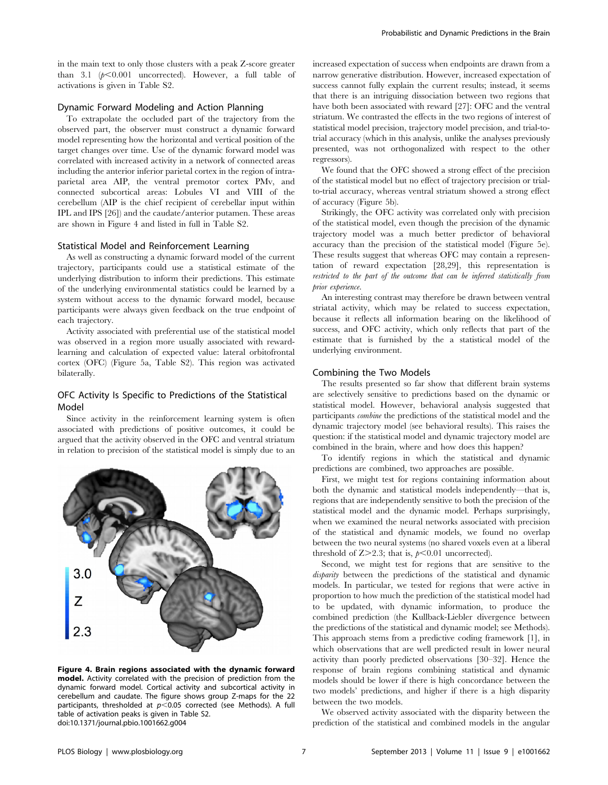in the main text to only those clusters with a peak Z-score greater than 3.1  $(p<0.001$  uncorrected). However, a full table of activations is given in Table S2.

## Dynamic Forward Modeling and Action Planning

To extrapolate the occluded part of the trajectory from the observed part, the observer must construct a dynamic forward model representing how the horizontal and vertical position of the target changes over time. Use of the dynamic forward model was correlated with increased activity in a network of connected areas including the anterior inferior parietal cortex in the region of intraparietal area AIP, the ventral premotor cortex PMv, and connected subcortical areas: Lobules VI and VIII of the cerebellum (AIP is the chief recipient of cerebellar input within IPL and IPS [26]) and the caudate/anterior putamen. These areas are shown in Figure 4 and listed in full in Table S2.

## Statistical Model and Reinforcement Learning

As well as constructing a dynamic forward model of the current trajectory, participants could use a statistical estimate of the underlying distribution to inform their predictions. This estimate of the underlying environmental statistics could be learned by a system without access to the dynamic forward model, because participants were always given feedback on the true endpoint of each trajectory.

Activity associated with preferential use of the statistical model was observed in a region more usually associated with rewardlearning and calculation of expected value: lateral orbitofrontal cortex (OFC) (Figure 5a, Table S2). This region was activated bilaterally.

# OFC Activity Is Specific to Predictions of the Statistical Model

Since activity in the reinforcement learning system is often associated with predictions of positive outcomes, it could be argued that the activity observed in the OFC and ventral striatum in relation to precision of the statistical model is simply due to an



Figure 4. Brain regions associated with the dynamic forward model. Activity correlated with the precision of prediction from the dynamic forward model. Cortical activity and subcortical activity in cerebellum and caudate. The figure shows group Z-maps for the 22 participants, thresholded at  $p$ <0.05 corrected (see Methods). A full table of activation peaks is given in Table S2. doi:10.1371/journal.pbio.1001662.g004

increased expectation of success when endpoints are drawn from a narrow generative distribution. However, increased expectation of success cannot fully explain the current results; instead, it seems that there is an intriguing dissociation between two regions that have both been associated with reward [27]: OFC and the ventral striatum. We contrasted the effects in the two regions of interest of statistical model precision, trajectory model precision, and trial-totrial accuracy (which in this analysis, unlike the analyses previously presented, was not orthogonalized with respect to the other regressors).

We found that the OFC showed a strong effect of the precision of the statistical model but no effect of trajectory precision or trialto-trial accuracy, whereas ventral striatum showed a strong effect of accuracy (Figure 5b).

Strikingly, the OFC activity was correlated only with precision of the statistical model, even though the precision of the dynamic trajectory model was a much better predictor of behavioral accuracy than the precision of the statistical model (Figure 5e). These results suggest that whereas OFC may contain a representation of reward expectation [28,29], this representation is restricted to the part of the outcome that can be inferred statistically from prior experience.

An interesting contrast may therefore be drawn between ventral striatal activity, which may be related to success expectation, because it reflects all information bearing on the likelihood of success, and OFC activity, which only reflects that part of the estimate that is furnished by the a statistical model of the underlying environment.

# Combining the Two Models

The results presented so far show that different brain systems are selectively sensitive to predictions based on the dynamic or statistical model. However, behavioral analysis suggested that participants combine the predictions of the statistical model and the dynamic trajectory model (see behavioral results). This raises the question: if the statistical model and dynamic trajectory model are combined in the brain, where and how does this happen?

To identify regions in which the statistical and dynamic predictions are combined, two approaches are possible.

First, we might test for regions containing information about both the dynamic and statistical models independently—that is, regions that are independently sensitive to both the precision of the statistical model and the dynamic model. Perhaps surprisingly, when we examined the neural networks associated with precision of the statistical and dynamic models, we found no overlap between the two neural systems (no shared voxels even at a liberal threshold of  $Z>2.3$ ; that is,  $p<0.01$  uncorrected).

Second, we might test for regions that are sensitive to the disparity between the predictions of the statistical and dynamic models. In particular, we tested for regions that were active in proportion to how much the prediction of the statistical model had to be updated, with dynamic information, to produce the combined prediction (the Kullback-Liebler divergence between the predictions of the statistical and dynamic model; see Methods). This approach stems from a predictive coding framework [1], in which observations that are well predicted result in lower neural activity than poorly predicted observations [30–32]. Hence the response of brain regions combining statistical and dynamic models should be lower if there is high concordance between the two models' predictions, and higher if there is a high disparity between the two models.

We observed activity associated with the disparity between the prediction of the statistical and combined models in the angular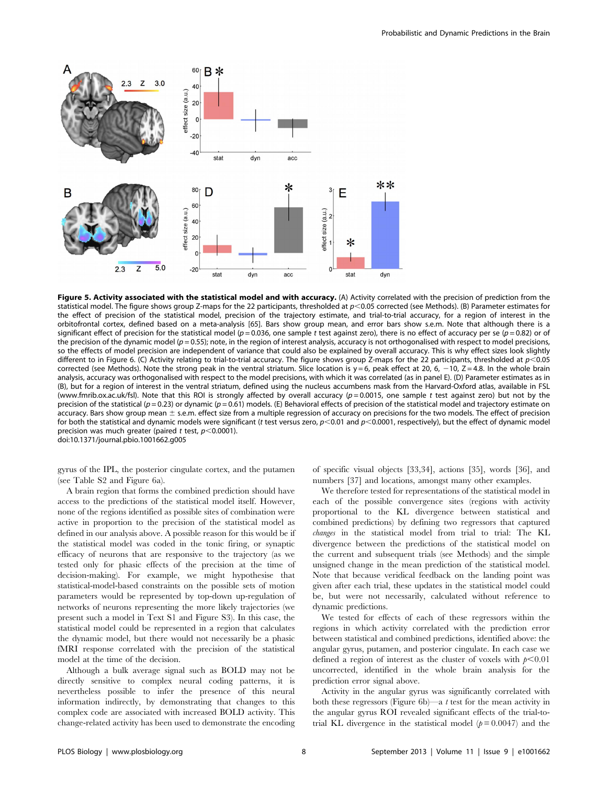

Figure 5. Activity associated with the statistical model and with accuracy. (A) Activity correlated with the precision of prediction from the statistical model. The figure shows group Z-maps for the 22 participants, thresholded at  $p<0.05$  corrected (see Methods). (B) Parameter estimates for the effect of precision of the statistical model, precision of the trajectory estimate, and trial-to-trial accuracy, for a region of interest in the orbitofrontal cortex, defined based on a meta-analysis [65]. Bars show group mean, and error bars show s.e.m. Note that although there is a significant effect of precision for the statistical model (p = 0.036, one sample t test against zero), there is no effect of accuracy per se (p = 0.82) or of the precision of the dynamic model ( $p = 0.55$ ); note, in the region of interest analysis, accuracy is not orthogonalised with respect to model precisions, so the effects of model precision are independent of variance that could also be explained by overall accuracy. This is why effect sizes look slightly different to in Figure 6. (C) Activity relating to trial-to-trial accuracy. The figure shows group Z-maps for the 22 participants, thresholded at  $p<0.05$ corrected (see Methods). Note the strong peak in the ventral striatum. Slice location is  $y = 6$ , peak effect at 20, 6, -10, Z = 4.8. In the whole brain analysis, accuracy was orthogonalised with respect to the model precisions, with which it was correlated (as in panel E). (D) Parameter estimates as in (B), but for a region of interest in the ventral striatum, defined using the nucleus accumbens mask from the Harvard-Oxford atlas, available in FSL (www.fmrib.ox.ac.uk/fsl). Note that this ROI is strongly affected by overall accuracy ( $p = 0.0015$ , one sample t test against zero) but not by the precision of the statistical ( $p = 0.23$ ) or dynamic ( $p = 0.61$ ) models. (E) Behavioral effects of precision of the statistical model and trajectory estimate on accuracy. Bars show group mean  $\pm$  s.e.m. effect size from a multiple regression of accuracy on precisions for the two models. The effect of precision for both the statistical and dynamic models were significant (t test versus zero,  $p<$  0.01 and  $p<$  0.0001, respectively), but the effect of dynamic model precision was much greater (paired t test,  $p<0.0001$ ). doi:10.1371/journal.pbio.1001662.g005

gyrus of the IPL, the posterior cingulate cortex, and the putamen (see Table S2 and Figure 6a).

A brain region that forms the combined prediction should have access to the predictions of the statistical model itself. However, none of the regions identified as possible sites of combination were active in proportion to the precision of the statistical model as defined in our analysis above. A possible reason for this would be if the statistical model was coded in the tonic firing, or synaptic efficacy of neurons that are responsive to the trajectory (as we tested only for phasic effects of the precision at the time of decision-making). For example, we might hypothesise that statistical-model-based constraints on the possible sets of motion parameters would be represented by top-down up-regulation of networks of neurons representing the more likely trajectories (we present such a model in Text S1 and Figure S3). In this case, the statistical model could be represented in a region that calculates the dynamic model, but there would not necessarily be a phasic fMRI response correlated with the precision of the statistical model at the time of the decision.

Although a bulk average signal such as BOLD may not be directly sensitive to complex neural coding patterns, it is nevertheless possible to infer the presence of this neural information indirectly, by demonstrating that changes to this complex code are associated with increased BOLD activity. This change-related activity has been used to demonstrate the encoding of specific visual objects [33,34], actions [35], words [36], and numbers [37] and locations, amongst many other examples.

We therefore tested for representations of the statistical model in each of the possible convergence sites (regions with activity proportional to the KL divergence between statistical and combined predictions) by defining two regressors that captured changes in the statistical model from trial to trial: The KL divergence between the predictions of the statistical model on the current and subsequent trials (see Methods) and the simple unsigned change in the mean prediction of the statistical model. Note that because veridical feedback on the landing point was given after each trial, these updates in the statistical model could be, but were not necessarily, calculated without reference to dynamic predictions.

We tested for effects of each of these regressors within the regions in which activity correlated with the prediction error between statistical and combined predictions, identified above: the angular gyrus, putamen, and posterior cingulate. In each case we defined a region of interest as the cluster of voxels with  $p<0.01$ uncorrected, identified in the whole brain analysis for the prediction error signal above.

Activity in the angular gyrus was significantly correlated with both these regressors (Figure 6b)—a  $t$  test for the mean activity in the angular gyrus ROI revealed significant effects of the trial-totrial KL divergence in the statistical model  $(p= 0.0047)$  and the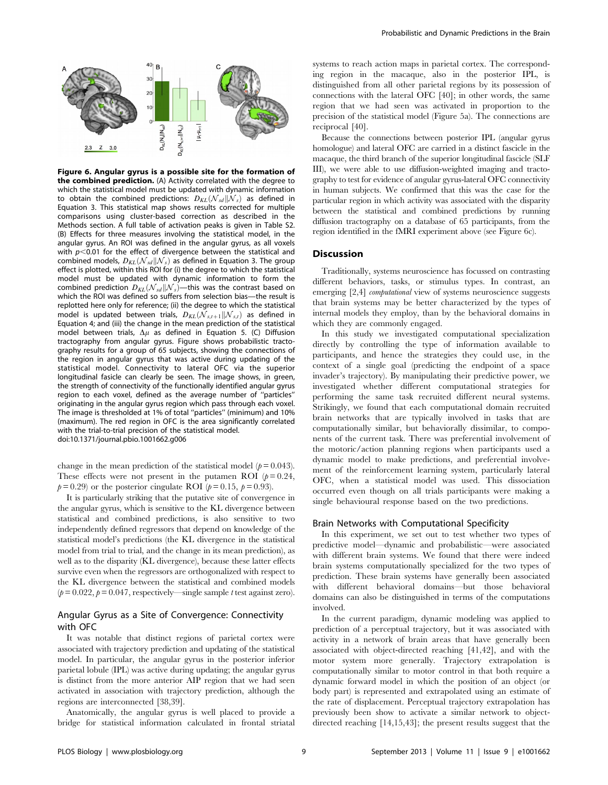

Figure 6. Angular gyrus is a possible site for the formation of the combined prediction. (A) Activity correlated with the degree to which the statistical model must be updated with dynamic information to obtain the combined predictions:  $D_{KL}(\mathcal{N}_{sd}||\mathcal{N}_s)$  as defined in Equation 3. This statistical map shows results corrected for multiple comparisons using cluster-based correction as described in the Methods section. A full table of activation peaks is given in Table S2. (B) Effects for three measures involving the statistical model, in the angular gyrus. An ROI was defined in the angular gyrus, as all voxels with  $p<0.01$  for the effect of divergence between the statistical and combined models,  $D_{KL}(\mathcal{N}_{sd}||\mathcal{N}_s)$  as defined in Equation 3. The group effect is plotted, within this ROI for (i) the degree to which the statistical model must be updated with dynamic information to form the combined prediction  $D_{KL}(\mathcal{N}_{sd}||\mathcal{N}_s)$ —this was the contrast based on which the ROI was defined so suffers from selection bias—the result is replotted here only for reference; (ii) the degree to which the statistical model is updated between trials,  $D_{KL}(\mathcal{N}_{s,t+1}||\mathcal{N}_{s,t})$  as defined in Equation 4; and (iii) the change in the mean prediction of the statistical model between trials,  $\Delta \mu$  as defined in Equation 5. (C) Diffusion tractography from angular gyrus. Figure shows probabilistic tractography results for a group of 65 subjects, showing the connections of the region in angular gyrus that was active during updating of the statistical model. Connectivity to lateral OFC via the superior longitudinal fasicle can clearly be seen. The image shows, in green, the strength of connectivity of the functionally identified angular gyrus region to each voxel, defined as the average number of ''particles'' originating in the angular gyrus region which pass through each voxel. The image is thresholded at 1% of total ''particles'' (minimum) and 10% (maximum). The red region in OFC is the area significantly correlated with the trial-to-trial precision of the statistical model. doi:10.1371/journal.pbio.1001662.g006

change in the mean prediction of the statistical model  $(p= 0.043)$ . These effects were not present in the putamen ROI  $(p= 0.24,$  $p = 0.29$  or the posterior cingulate ROI ( $p = 0.15$ ,  $p = 0.93$ ).

It is particularly striking that the putative site of convergence in the angular gyrus, which is sensitive to the KL divergence between statistical and combined predictions, is also sensitive to two independently defined regressors that depend on knowledge of the statistical model's predictions (the KL divergence in the statistical model from trial to trial, and the change in its mean prediction), as well as to the disparity (KL divergence), because these latter effects survive even when the regressors are orthogonalized with respect to the KL divergence between the statistical and combined models  $(p= 0.022, p= 0.047,$  respectively—single sample t test against zero).

# Angular Gyrus as a Site of Convergence: Connectivity with OFC

It was notable that distinct regions of parietal cortex were associated with trajectory prediction and updating of the statistical model. In particular, the angular gyrus in the posterior inferior parietal lobule (IPL) was active during updating; the angular gyrus is distinct from the more anterior AIP region that we had seen activated in association with trajectory prediction, although the regions are interconnected [38,39].

Anatomically, the angular gyrus is well placed to provide a bridge for statistical information calculated in frontal striatal systems to reach action maps in parietal cortex. The corresponding region in the macaque, also in the posterior IPL, is distinguished from all other parietal regions by its possession of connections with the lateral OFC [40]; in other words, the same region that we had seen was activated in proportion to the precision of the statistical model (Figure 5a). The connections are reciprocal [40].

Because the connections between posterior IPL (angular gyrus homologue) and lateral OFC are carried in a distinct fascicle in the macaque, the third branch of the superior longitudinal fascicle (SLF III), we were able to use diffusion-weighted imaging and tractography to test for evidence of angular gyrus-lateral OFC connectivity in human subjects. We confirmed that this was the case for the particular region in which activity was associated with the disparity between the statistical and combined predictions by running diffusion tractography on a database of 65 participants, from the region identified in the fMRI experiment above (see Figure 6c).

## **Discussion**

Traditionally, systems neuroscience has focussed on contrasting different behaviors, tasks, or stimulus types. In contrast, an emerging [2,4] computational view of systems neuroscience suggests that brain systems may be better characterized by the types of internal models they employ, than by the behavioral domains in which they are commonly engaged.

In this study we investigated computational specialization directly by controlling the type of information available to participants, and hence the strategies they could use, in the context of a single goal (predicting the endpoint of a space invader's trajectory). By manipulating their predictive power, we investigated whether different computational strategies for performing the same task recruited different neural systems. Strikingly, we found that each computational domain recruited brain networks that are typically involved in tasks that are computationally similar, but behaviorally dissimilar, to components of the current task. There was preferential involvement of the motoric/action planning regions when participants used a dynamic model to make predictions, and preferential involvement of the reinforcement learning system, particularly lateral OFC, when a statistical model was used. This dissociation occurred even though on all trials participants were making a single behavioural response based on the two predictions.

#### Brain Networks with Computational Specificity

In this experiment, we set out to test whether two types of predictive model—dynamic and probabilistic—were associated with different brain systems. We found that there were indeed brain systems computationally specialized for the two types of prediction. These brain systems have generally been associated with different behavioral domains—but those behavioral domains can also be distinguished in terms of the computations involved.

In the current paradigm, dynamic modeling was applied to prediction of a perceptual trajectory, but it was associated with activity in a network of brain areas that have generally been associated with object-directed reaching [41,42], and with the motor system more generally. Trajectory extrapolation is computationally similar to motor control in that both require a dynamic forward model in which the position of an object (or body part) is represented and extrapolated using an estimate of the rate of displacement. Perceptual trajectory extrapolation has previously been show to activate a similar network to objectdirected reaching [14,15,43]; the present results suggest that the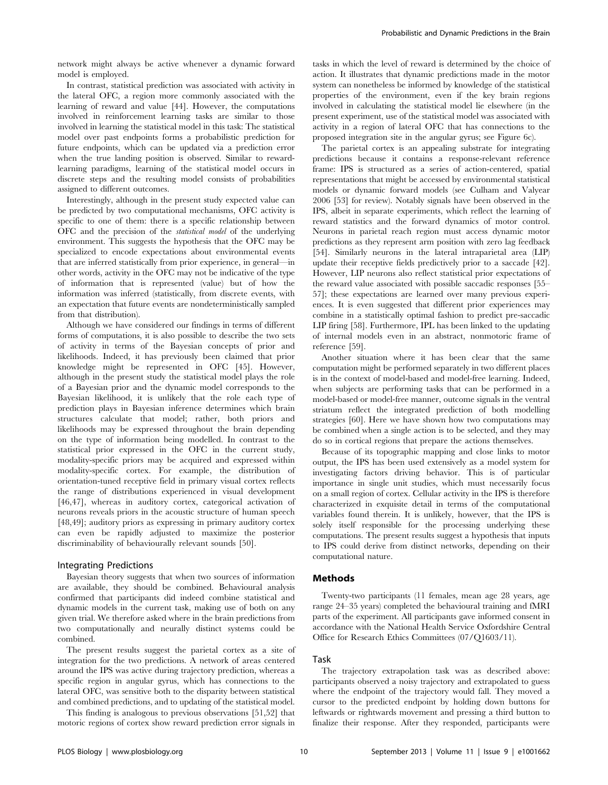network might always be active whenever a dynamic forward model is employed.

In contrast, statistical prediction was associated with activity in the lateral OFC, a region more commonly associated with the learning of reward and value [44]. However, the computations involved in reinforcement learning tasks are similar to those involved in learning the statistical model in this task: The statistical model over past endpoints forms a probabilistic prediction for future endpoints, which can be updated via a prediction error when the true landing position is observed. Similar to rewardlearning paradigms, learning of the statistical model occurs in discrete steps and the resulting model consists of probabilities assigned to different outcomes.

Interestingly, although in the present study expected value can be predicted by two computational mechanisms, OFC activity is specific to one of them: there is a specific relationship between OFC and the precision of the statistical model of the underlying environment. This suggests the hypothesis that the OFC may be specialized to encode expectations about environmental events that are inferred statistically from prior experience, in general—in other words, activity in the OFC may not be indicative of the type of information that is represented (value) but of how the information was inferred (statistically, from discrete events, with an expectation that future events are nondeterministically sampled from that distribution).

Although we have considered our findings in terms of different forms of computations, it is also possible to describe the two sets of activity in terms of the Bayesian concepts of prior and likelihoods. Indeed, it has previously been claimed that prior knowledge might be represented in OFC [45]. However, although in the present study the statistical model plays the role of a Bayesian prior and the dynamic model corresponds to the Bayesian likelihood, it is unlikely that the role each type of prediction plays in Bayesian inference determines which brain structures calculate that model; rather, both priors and likelihoods may be expressed throughout the brain depending on the type of information being modelled. In contrast to the statistical prior expressed in the OFC in the current study, modality-specific priors may be acquired and expressed within modality-specific cortex. For example, the distribution of orientation-tuned receptive field in primary visual cortex reflects the range of distributions experienced in visual development [46,47], whereas in auditory cortex, categorical activation of neurons reveals priors in the acoustic structure of human speech [48,49]; auditory priors as expressing in primary auditory cortex can even be rapidly adjusted to maximize the posterior discriminability of behaviourally relevant sounds [50].

#### Integrating Predictions

Bayesian theory suggests that when two sources of information are available, they should be combined. Behavioural analysis confirmed that participants did indeed combine statistical and dynamic models in the current task, making use of both on any given trial. We therefore asked where in the brain predictions from two computationally and neurally distinct systems could be combined.

The present results suggest the parietal cortex as a site of integration for the two predictions. A network of areas centered around the IPS was active during trajectory prediction, whereas a specific region in angular gyrus, which has connections to the lateral OFC, was sensitive both to the disparity between statistical and combined predictions, and to updating of the statistical model.

This finding is analogous to previous observations [51,52] that motoric regions of cortex show reward prediction error signals in tasks in which the level of reward is determined by the choice of action. It illustrates that dynamic predictions made in the motor system can nonetheless be informed by knowledge of the statistical properties of the environment, even if the key brain regions involved in calculating the statistical model lie elsewhere (in the present experiment, use of the statistical model was associated with activity in a region of lateral OFC that has connections to the proposed integration site in the angular gyrus; see Figure 6c).

The parietal cortex is an appealing substrate for integrating predictions because it contains a response-relevant reference frame: IPS is structured as a series of action-centered, spatial representations that might be accessed by environmental statistical models or dynamic forward models (see Culham and Valyear 2006 [53] for review). Notably signals have been observed in the IPS, albeit in separate experiments, which reflect the learning of reward statistics and the forward dynamics of motor control. Neurons in parietal reach region must access dynamic motor predictions as they represent arm position with zero lag feedback [54]. Similarly neurons in the lateral intraparietal area (LIP) update their receptive fields predictively prior to a saccade [42]. However, LIP neurons also reflect statistical prior expectations of the reward value associated with possible saccadic responses [55– 57]; these expectations are learned over many previous experiences. It is even suggested that different prior experiences may combine in a statistically optimal fashion to predict pre-saccadic LIP firing [58]. Furthermore, IPL has been linked to the updating of internal models even in an abstract, nonmotoric frame of reference [59].

Another situation where it has been clear that the same computation might be performed separately in two different places is in the context of model-based and model-free learning. Indeed, when subjects are performing tasks that can be performed in a model-based or model-free manner, outcome signals in the ventral striatum reflect the integrated prediction of both modelling strategies [60]. Here we have shown how two computations may be combined when a single action is to be selected, and they may do so in cortical regions that prepare the actions themselves.

Because of its topographic mapping and close links to motor output, the IPS has been used extensively as a model system for investigating factors driving behavior. This is of particular importance in single unit studies, which must necessarily focus on a small region of cortex. Cellular activity in the IPS is therefore characterized in exquisite detail in terms of the computational variables found therein. It is unlikely, however, that the IPS is solely itself responsible for the processing underlying these computations. The present results suggest a hypothesis that inputs to IPS could derive from distinct networks, depending on their computational nature.

## Methods

Twenty-two participants (11 females, mean age 28 years, age range 24–35 years) completed the behavioural training and fMRI parts of the experiment. All participants gave informed consent in accordance with the National Health Service Oxfordshire Central Office for Research Ethics Committees (07/Q1603/11).

### Task

The trajectory extrapolation task was as described above: participants observed a noisy trajectory and extrapolated to guess where the endpoint of the trajectory would fall. They moved a cursor to the predicted endpoint by holding down buttons for leftwards or rightwards movement and pressing a third button to finalize their response. After they responded, participants were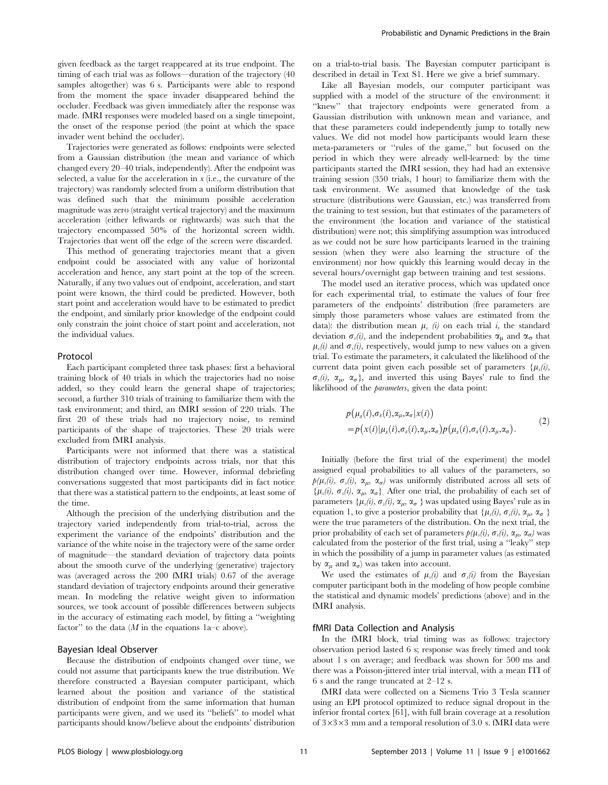given feedback as the target reappeared at its true endpoint. The timing of each trial was as follows—duration of the trajectory (40 samples altogether) was 6 s. Participants were able to respond from the moment the space invader disappeared behind the occluder. Feedback was given immediately after the response was made. fMRI responses were modeled based on a single timepoint, the onset of the response period (the point at which the space invader went behind the occluder).

Trajectories were generated as follows: endpoints were selected from a Gaussian distribution (the mean and variance of which changed every 20–40 trials, independently). After the endpoint was selected, a value for the acceleration in  $x$  (i.e., the curvature of the trajectory) was randomly selected from a uniform distribution that was defined such that the minimum possible acceleration magnitude was zero (straight vertical trajectory) and the maximum acceleration (either leftwards or rightwards) was such that the trajectory encompassed 50% of the horizontal screen width. Trajectories that went off the edge of the screen were discarded.

This method of generating trajectories meant that a given endpoint could be associated with any value of horizontal acceleration and hence, any start point at the top of the screen. Naturally, if any two values out of endpoint, acceleration, and start point were known, the third could be predicted. However, both start point and acceleration would have to be estimated to predict the endpoint, and similarly prior knowledge of the endpoint could only constrain the joint choice of start point and acceleration, not the individual values.

#### Protocol

Each participant completed three task phases: first a behavioral training block of 40 trials in which the trajectories had no noise added, so they could learn the general shape of trajectories; second, a further 310 trials of training to familiarize them with the task environment; and third, an fMRI session of 220 trials. The first 20 of these trials had no trajectory noise, to remind participants of the shape of trajectories. These 20 trials were excluded from fMRI analysis.

Participants were not informed that there was a statistical distribution of trajectory endpoints across trials, nor that this distribution changed over time. However, informal debriefing conversations suggested that most participants did in fact notice that there was a statistical pattern to the endpoints, at least some of the time.

Although the precision of the underlying distribution and the trajectory varied independently from trial-to-trial, across the experiment the variance of the endpoints' distribution and the variance of the white noise in the trajectory were of the same order of magnitude—the standard deviation of trajectory data points about the smooth curve of the underlying (generative) trajectory was (averaged across the 200 fMRI trials) 0.67 of the average standard deviation of trajectory endpoints around their generative mean. In modeling the relative weight given to information sources, we took account of possible differences between subjects in the accuracy of estimating each model, by fitting a ''weighting factor" to the data  $(M \text{ in the equations } 1a-c \text{ above}).$ 

#### Bayesian Ideal Observer

Because the distribution of endpoints changed over time, we could not assume that participants knew the true distribution. We therefore constructed a Bayesian computer participant, which learned about the position and variance of the statistical distribution of endpoint from the same information that human participants were given, and we used its ''beliefs'' to model what participants should know/believe about the endpoints' distribution on a trial-to-trial basis. The Bayesian computer participant is described in detail in Text S1. Here we give a brief summary.

Like all Bayesian models, our computer participant was supplied with a model of the structure of the environment: it "knew" that trajectory endpoints were generated from a Gaussian distribution with unknown mean and variance, and that these parameters could independently jump to totally new values. We did not model how participants would learn these meta-parameters or ''rules of the game,'' but focused on the period in which they were already well-learned: by the time participants started the fMRI session, they had had an extensive training session (350 trials, 1 hour) to familiarize them with the task environment. We assumed that knowledge of the task structure (distributions were Gaussian, etc.) was transferred from the training to test session, but that estimates of the parameters of the environment (the location and variance of the statistical distribution) were not; this simplifying assumption was introduced as we could not be sure how participants learned in the training session (when they were also learning the structure of the environment) nor how quickly this learning would decay in the several hours/overnight gap between training and test sessions.

The model used an iterative process, which was updated once for each experimental trial, to estimate the values of four free parameters of the endpoints' distribution (free parameters are simply those parameters whose values are estimated from the data): the distribution mean  $\mu_s$  (i) on each trial i, the standard deviation  $\sigma_s(i)$ , and the independent probabilities  $\alpha_\mu$  and  $\alpha_\sigma$  that  $\mu_s(i)$  and  $\sigma_s(i)$ , respectively, would jump to new values on a given trial. To estimate the parameters, it calculated the likelihood of the current data point given each possible set of parameters  $\{\mu_s(i),\}$  $\sigma_s(i)$ ,  $\alpha_\mu$ ,  $\alpha_\sigma$ }, and inverted this using Bayes' rule to find the likelihood of the parameters, given the data point:

$$
p(\mu_s(i), \sigma_s(i), \alpha_\mu, \alpha_\sigma | x(i))
$$
  
=  $p(x(i) | \mu_s(i), \sigma_s(i), \alpha_\mu, \alpha_\sigma) p(\mu_s(i), \sigma_s(i), \alpha_\mu, \alpha_\sigma).$  (2)

Initially (before the first trial of the experiment) the model assigned equal probabilities to all values of the parameters, so  $p(\mu_s(i), \sigma_s(i), \alpha_\mu, \alpha_\sigma)$  was uniformly distributed across all sets of  $\{\mu_s(i), \sigma_s(i), \alpha_\mu, \alpha_\sigma\}$ . After one trial, the probability of each set of parameters  $\{\mu_s(i), \sigma_s(i), \alpha_\mu, \alpha_\sigma\}$  was updated using Bayes' rule as in equation 1, to give a posterior probability that  $\{\mu_s(i), \sigma_s(i), \alpha_\mu, \alpha_\sigma\}$ were the true parameters of the distribution. On the next trial, the prior probability of each set of parameters  $p(\mu_s(i), \sigma_s(i), \alpha_\mu, \alpha_\sigma)$  was calculated from the posterior of the first trial, using a ''leaky'' step in which the possibility of a jump in parameter values (as estimated by  $\alpha_{\mu}$  and  $\alpha_{\sigma}$ ) was taken into account.

We used the estimates of  $\mu_s(i)$  and  $\sigma_s(i)$  from the Bayesian computer participant both in the modeling of how people combine the statistical and dynamic models' predictions (above) and in the fMRI analysis.

## fMRI Data Collection and Analysis

In the fMRI block, trial timing was as follows: trajectory observation period lasted 6 s; response was freely timed and took about 1 s on average; and feedback was shown for 500 ms and there was a Poisson-jittered inter trial interval, with a mean ITI of 6 s and the range truncated at 2–12 s.

fMRI data were collected on a Siemens Trio 3 Tesla scanner using an EPI protocol optimized to reduce signal dropout in the inferior frontal cortex [61], with full brain coverage at a resolution of  $3\times3\times3$  mm and a temporal resolution of 3.0 s. fMRI data were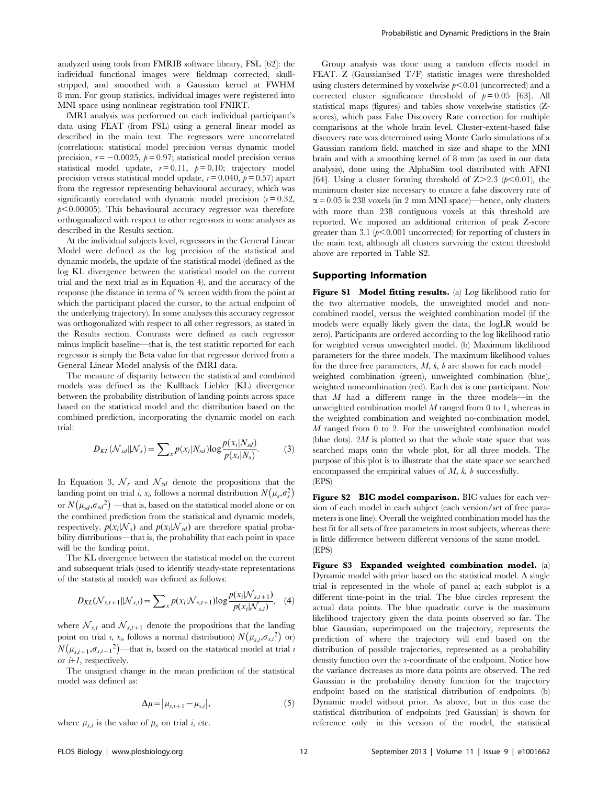analyzed using tools from FMRIB software library, FSL [62]: the individual functional images were fieldmap corrected, skullstripped, and smoothed with a Gaussian kernel at FWHM 8 mm. For group statistics, individual images were registered into MNI space using nonlinear registration tool FNIRT.

fMRI analysis was performed on each individual participant's data using FEAT (from FSL) using a general linear model as described in the main text. The regressors were uncorrelated (correlations: statistical model precision versus dynamic model precision,  $r = -0.0025$ ,  $p = 0.97$ ; statistical model precision versus statistical model update,  $r = 0.11$ ,  $p = 0.10$ ; trajectory model precision versus statistical model update,  $r = 0.040$ ,  $p = 0.57$ ) apart from the regressor representing behavioural accuracy, which was significantly correlated with dynamic model precision  $(r = 0.32)$ ,  $p<0.00005$ ). This behavioural accuracy regressor was therefore orthogonalized with respect to other regressors in some analyses as described in the Results section.

At the individual subjects level, regressors in the General Linear Model were defined as the log precision of the statistical and dynamic models, the update of the statistical model (defined as the log KL divergence between the statistical model on the current trial and the next trial as in Equation 4), and the accuracy of the response (the distance in terms of % screen width from the point at which the participant placed the cursor, to the actual endpoint of the underlying trajectory). In some analyses this accuracy regressor was orthogonalized with respect to all other regressors, as stated in the Results section. Contrasts were defined as each regressor minus implicit baseline—that is, the test statistic reported for each regressor is simply the Beta value for that regressor derived from a General Linear Model analysis of the fMRI data.

The measure of disparity between the statistical and combined models was defined as the Kullback Liebler (KL) divergence between the probability distribution of landing points across space based on the statistical model and the distribution based on the combined prediction, incorporating the dynamic model on each trial:

$$
D_{KL}(\mathcal{N}_{sd}||\mathcal{N}_s) = \sum_{x} p(x_i|N_{sd}) \log \frac{p(x_i|N_{sd})}{p(x_i|N_s)}.
$$
 (3)

In Equation 3,  $\mathcal{N}_s$  and  $\mathcal{N}_{sd}$  denote the propositions that the In Equation 5,  $\mathcal{N} \mathbf{y}$  and  $\mathcal{N} \mathbf{y}$  denote the propositions that the landing point on trial *i*,  $x_i$  follows a normal distribution  $N(\mu_s, \sigma_s^2)$ or  $N(\mu_{sd}, \sigma_{sd}^2)$  —that is, based on the statistical model alone or on the combined prediction from the statistical and dynamic models, respectively.  $p(x_i|N_s)$  and  $p(x_i|N_{sd})$  are therefore spatial probability distributions—that is, the probability that each point in space will be the landing point.

The KL divergence between the statistical model on the current and subsequent trials (used to identify steady-state representations of the statistical model) was defined as follows:

$$
D_{KL}(\mathcal{N}_{s,t+1}||\mathcal{N}_{s,t}) = \sum_{x} p(x_i|\mathcal{N}_{s,t+1}) \log \frac{p(x_i|\mathcal{N}_{s,t+1})}{p(x_i|\mathcal{N}_{s,t})}, \quad (4)
$$

where  $\mathcal{N}_{s,t}$  and  $\mathcal{N}_{s,t+1}$  denote the propositions that the landing point on trial *i*,  $x_i$ , follows a normal distribution)  $N(\mu_{s,i}, \sigma_{s,i}^2)$  or)  $N(\mu_{s,i+1}, \sigma_{s,i+1}^2)$ —that is, based on the statistical model at trial is or  $i+1$ , respectively.

The unsigned change in the mean prediction of the statistical model was defined as:

$$
\Delta \mu = |\mu_{s,i+1} - \mu_{s,i}|,\tag{5}
$$

where  $\mu_{s,i}$  is the value of  $\mu_s$  on trial i, etc.

Group analysis was done using a random effects model in FEAT. Z (Gaussianised T/F) statistic images were thresholded using clusters determined by voxelwise  $p<0.01$  (uncorrected) and a corrected cluster significance threshold of  $p = 0.05$  [63]. All statistical maps (figures) and tables show voxelwise statistics (Zscores), which pass False Discovery Rate correction for multiple comparisons at the whole brain level. Cluster-extent-based false discovery rate was determined using Monte Carlo simulations of a Gaussian random field, matched in size and shape to the MNI brain and with a smoothing kernel of 8 mm (as used in our data analysis), done using the AlphaSim tool distributed with AFNI [64]. Using a cluster forming threshold of  $Z>2.3$  ( $p<0.01$ ), the minimum cluster size necessary to ensure a false discovery rate of  $\alpha$  = 0.05 is 238 voxels (in 2 mm MNI space)—hence, only clusters with more than 238 contiguous voxels at this threshold are reported. We imposed an additional criterion of peak Z-score greater than 3.1 ( $p<0.001$  uncorrected) for reporting of clusters in the main text, although all clusters surviving the extent threshold above are reported in Table S2.

#### Supporting Information

Figure S1 Model fitting results. (a) Log likelihood ratio for the two alternative models, the unweighted model and noncombined model, versus the weighted combination model (if the models were equally likely given the data, the logLR would be zero). Participants are ordered according to the log likelihood ratio for weighted versus unweighted model. (b) Maximum likelihood parameters for the three models. The maximum likelihood values for the three free parameters,  $M$ ,  $k$ ,  $b$  are shown for each modelweighted combination (green), unweighted combination (blue), weighted noncombination (red). Each dot is one participant. Note that  $M$  had a different range in the three models—in the unweighted combination model  $M$  ranged from 0 to 1, whereas in the weighted combination and weighted no-combination model, M ranged from 0 to 2. For the unweighted combination model (blue dots).  $2M$  is plotted so that the whole state space that was searched maps onto the whole plot, for all three models. The purpose of this plot is to illustrate that the state space we searched encompassed the empirical values of  $M$ ,  $k$ ,  $b$  successfully. (EPS)

Figure S2 BIC model comparison. BIC values for each version of each model in each subject (each version/set of free parameters is one line). Overall the weighted combination model has the best fit for all sets of free parameters in most subjects, whereas there is little difference between different versions of the same model. (EPS)

Figure S3 Expanded weighted combination model. (a) Dynamic model with prior based on the statistical model. A single trial is represented in the whole of panel a; each subplot is a different time-point in the trial. The blue circles represent the actual data points. The blue quadratic curve is the maximum likelihood trajectory given the data points observed so far. The blue Gaussian, superimposed on the trajectory, represents the prediction of where the trajectory will end based on the distribution of possible trajectories, represented as a probability density function over the x-coordinate of the endpoint. Notice how the variance decreases as more data points are observed. The red Gaussian is the probability density function for the trajectory endpoint based on the statistical distribution of endpoints. (b) Dynamic model without prior. As above, but in this case the statistical distribution of endpoints (red Gaussian) is shown for reference only—in this version of the model, the statistical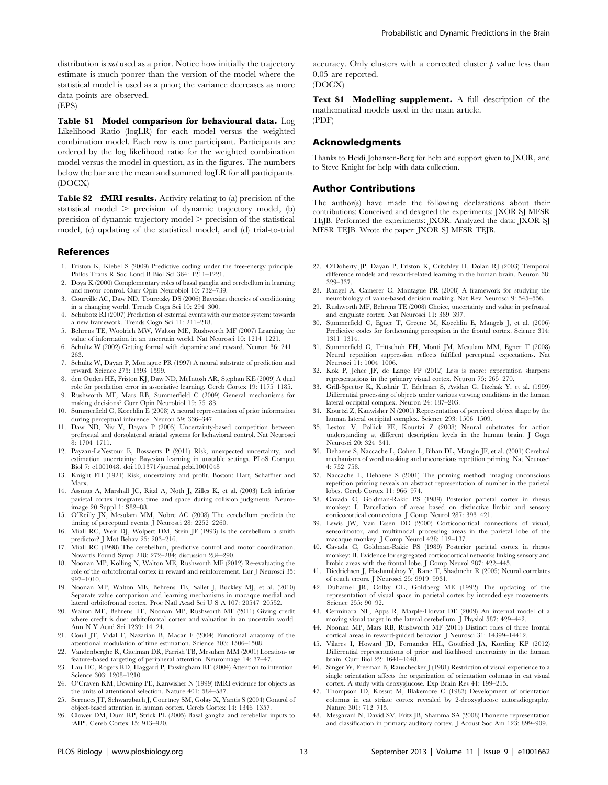distribution is not used as a prior. Notice how initially the trajectory estimate is much poorer than the version of the model where the statistical model is used as a prior; the variance decreases as more data points are observed.

(EPS)

Table S1 Model comparison for behavioural data. Log Likelihood Ratio (logLR) for each model versus the weighted combination model. Each row is one participant. Participants are ordered by the log likelihood ratio for the weighted combination model versus the model in question, as in the figures. The numbers below the bar are the mean and summed logLR for all participants. (DOCX)

Table S2 fMRI results. Activity relating to (a) precision of the statistical model  $>$  precision of dynamic trajectory model, (b) precision of dynamic trajectory model > precision of the statistical model, (c) updating of the statistical model, and (d) trial-to-trial

#### References

- 1. Friston K, Kiebel S (2009) Predictive coding under the free-energy principle. Philos Trans R Soc Lond B Biol Sci 364: 1211–1221.
- 2. Doya K (2000) Complementary roles of basal ganglia and cerebellum in learning and motor control. Curr Opin Neurobiol 10: 732–739.
- 3. Courville AC, Daw ND, Touretzky DS (2006) Bayesian theories of conditioning in a changing world. Trends Cogn Sci 10: 294–300.
- 4. Schubotz RI (2007) Prediction of external events with our motor system: towards a new framework. Trends Cogn Sci 11: 211–218.
- 5. Behrens TE, Woolrich MW, Walton ME, Rushworth MF (2007) Learning the value of information in an uncertain world. Nat Neurosci 10: 1214–1221.
- 6. Schultz W (2002) Getting formal with dopamine and reward. Neuron 36: 241– 263.
- 7. Schultz W, Dayan P, Montague PR (1997) A neural substrate of prediction and reward. Science 275: 1593–1599.
- 8. den Ouden HE, Friston KJ, Daw ND, McIntosh AR, Stephan KE (2009) A dual role for prediction error in associative learning. Cereb Cortex 19: 1175–1185.
- 9. Rushworth MF, Mars RB, Summerfield C (2009) General mechanisms for making decisions? Curr Opin Neurobiol 19: 75–83.
- 10. Summerfield C, Koechlin E (2008) A neural representation of prior information during perceptual inference. Neuron 59: 336–347.
- 11. Daw ND, Niv Y, Dayan P (2005) Uncertainty-based competition between prefrontal and dorsolateral striatal systems for behavioral control. Nat Neurosci 8: 1704–1711.
- 12. Payzan-LeNestour E, Bossaerts P (2011) Risk, unexpected uncertainty, and estimation uncertainty: Bayesian learning in unstable settings. PLoS Comput Biol 7: e1001048. doi:10.1371/journal.pcbi.1001048
- 13. Knight FH (1921) Risk, uncertainty and profit. Boston: Hart, Schaffner and Marx.
- 14. Assmus A, Marshall JC, Ritzl A, Noth J, Zilles K, et al. (2003) Left inferior parietal cortex integrates time and space during collision judgments. Neuroimage 20 Suppl 1: S82–88.
- 15. O'Reilly JX, Mesulam MM, Nobre AC (2008) The cerebellum predicts the timing of perceptual events. J Neurosci 28: 2252–2260.
- 16. Miall RC, Weir DJ, Wolpert DM, Stein JF (1993) Is the cerebellum a smith predictor? J Mot Behav 25: 203–216.
- 17. Miall RC (1998) The cerebellum, predictive control and motor coordination. Novartis Found Symp 218: 272–284; discussion 284–290.
- 18. Noonan MP, Kolling N, Walton ME, Rushworth MF (2012) Re-evaluating the role of the orbitofrontal cortex in reward and reinforcement. Eur J Neurosci 35: 997–1010.
- 19. Noonan MP, Walton ME, Behrens TE, Sallet J, Buckley MJ, et al. (2010) Separate value comparison and learning mechanisms in macaque medial and lateral orbitofrontal cortex. Proc Natl Acad Sci U S A 107: 20547–20552.
- 20. Walton ME, Behrens TE, Noonan MP, Rushworth MF (2011) Giving credit where credit is due: orbitofrontal cortex and valuation in an uncertain world. Ann N Y Acad Sci 1239: 14–24.
- 21. Coull JT, Vidal F, Nazarian B, Macar F (2004) Functional anatomy of the attentional modulation of time estimation. Science 303: 1506–1508.
- 22. Vandenberghe R, Gitelman DR, Parrish TB, Mesulam MM (2001) Location- or feature-based targeting of peripheral attention. Neuroimage 14: 37–47.
- 23. Lau HC, Rogers RD, Haggard P, Passingham RE (2004) Attention to intention. Science 303: 1208–1210.
- 24. O'Craven KM, Downing PE, Kanwisher N (1999) fMRI evidence for objects as the units of attentional selection. Nature 401: 584–587.
- 25. Serences JT, Schwarzbach J, Courtney SM, Golay X, Yantis S (2004) Control of object-based attention in human cortex. Cereb Cortex 14: 1346–1357.
- 26. Clower DM, Dum RP, Strick PL (2005) Basal ganglia and cerebellar inputs to 'AIP'. Cereb Cortex 15: 913–920.

accuracy. Only clusters with a corrected cluster  $p$  value less than 0.05 are reported. (DOCX)

Text S1 Modelling supplement. A full description of the mathematical models used in the main article. (PDF)

#### Acknowledgments

Thanks to Heidi Johansen-Berg for help and support given to JXOR, and to Steve Knight for help with data collection.

# Author Contributions

The author(s) have made the following declarations about their contributions: Conceived and designed the experiments: JXOR SJ MFSR TEJB. Performed the experiments: JXOR. Analyzed the data: JXOR SJ MFSR TEJB. Wrote the paper: JXOR SJ MFSR TEJB.

- 27. O'Doherty JP, Dayan P, Friston K, Critchley H, Dolan RJ (2003) Temporal difference models and reward-related learning in the human brain. Neuron 38: 329–337.
- 28. Rangel A, Camerer C, Montague PR (2008) A framework for studying the neurobiology of value-based decision making. Nat Rev Neurosci 9: 545–556.
- 29. Rushworth MF, Behrens TE (2008) Choice, uncertainty and value in prefrontal and cingulate cortex. Nat Neurosci 11: 389–397.
- 30. Summerfield C, Egner T, Greene M, Koechlin E, Mangels J, et al. (2006) Predictive codes for forthcoming perception in the frontal cortex. Science 314: 1311–1314.
- 31. Summerfield C, Trittschuh EH, Monti JM, Mesulam MM, Egner T (2008) Neural repetition suppression reflects fulfilled perceptual expectations. Nat Neurosci 11: 1004–1006.
- 32. Kok P, Jehee JF, de Lange FP (2012) Less is more: expectation sharpens representations in the primary visual cortex. Neuron 75: 265–270.
- 33. Grill-Spector K, Kushnir T, Edelman S, Avidan G, Itzchak Y, et al. (1999) Differential processing of objects under various viewing conditions in the human lateral occipital complex. Neuron 24: 187–203.
- 34. Kourtzi Z, Kanwisher N (2001) Representation of perceived object shape by the human lateral occipital complex. Science 293: 1506–1509.
- 35. Lestou V, Pollick FE, Kourtzi Z (2008) Neural substrates for action understanding at different description levels in the human brain. J Cogn Neurosci 20: 324–341.
- 36. Dehaene S, Naccache L, Cohen L, Bihan DL, Mangin JF, et al. (2001) Cerebral mechanisms of word masking and unconscious repetition priming. Nat Neurosci 4: 752–758.
- 37. Naccache L, Dehaene S (2001) The priming method: imaging unconscious repetition priming reveals an abstract representation of number in the parietal lobes. Cereb Cortex 11: 966–974.
- 38. Cavada C, Goldman-Rakic PS (1989) Posterior parietal cortex in rhesus monkey: I. Parcellation of areas based on distinctive limbic and sensory corticocortical connections. J Comp Neurol 287: 393–421.
- 39. Lewis JW, Van Essen DC (2000) Corticocortical connections of visual, sensorimotor, and multimodal processing areas in the parietal lobe of the macaque monkey. J Comp Neurol 428: 112–137.
- 40. Cavada C, Goldman-Rakic PS (1989) Posterior parietal cortex in rhesus monkey: II. Evidence for segregated corticocortical networks linking sensory and limbic areas with the frontal lobe. J Comp Neurol 287: 422–445.
- 41. Diedrichsen J, Hashambhoy Y, Rane T, Shadmehr R (2005) Neural correlates of reach errors. J Neurosci 25: 9919–9931.
- 42. Duhamel JR, Colby CL, Goldberg ME (1992) The updating of the representation of visual space in parietal cortex by intended eye movements. Science 255: 90–92.
- 43. Cerminara NL, Apps R, Marple-Horvat DE (2009) An internal model of a moving visual target in the lateral cerebellum. J Physiol 587: 429–442.
- 44. Noonan MP, Mars RB, Rushworth MF (2011) Distinct roles of three frontal cortical areas in reward-guided behavior. J Neurosci 31: 14399–14412.
- 45. Vilares I, Howard JD, Fernandes HL, Gottfried JA, Kording KP (2012) Differential representations of prior and likelihood uncertainty in the human brain. Curr Biol 22: 1641–1648.
- 46. Singer W, Freeman B, Rauschecker J (1981) Restriction of visual experience to a single orientation affects the organization of orientation columns in cat visual cortex. A study with deoxyglucose. Exp Brain Res 41: 199–215.
- 47. Thompson ID, Kossut M, Blakemore C (1983) Development of orientation columns in cat striate cortex revealed by 2-deoxyglucose autoradiography. Nature 301: 712–715.
- 48. Mesgarani N, David SV, Fritz JB, Shamma SA (2008) Phoneme representation and classification in primary auditory cortex. J Acoust Soc Am 123: 899–909.